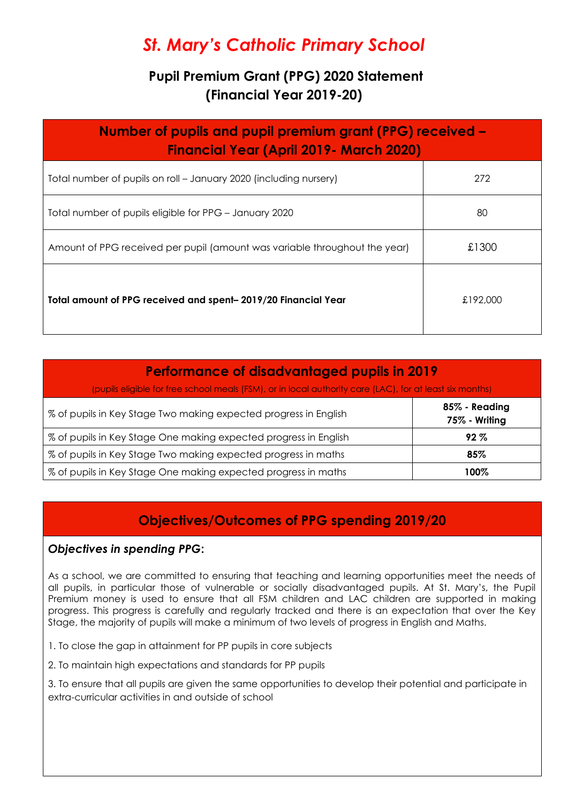# *St. Mary's Catholic Primary School*

# **Pupil Premium Grant (PPG) 2020 Statement (Financial Year 2019-20)**

| Number of pupils and pupil premium grant (PPG) received –<br><b>Financial Year (April 2019 - March 2020)</b> |          |  |  |
|--------------------------------------------------------------------------------------------------------------|----------|--|--|
| Total number of pupils on roll – January 2020 (including nursery)                                            | 272      |  |  |
| Total number of pupils eligible for PPG - January 2020                                                       | 80       |  |  |
| Amount of PPG received per pupil (amount was variable throughout the year)                                   | £1300    |  |  |
| Total amount of PPG received and spent-2019/20 Financial Year                                                | £192,000 |  |  |

| <b>Performance of disadvantaged pupils in 2019</b>                                                                                                                           |                                |  |  |
|------------------------------------------------------------------------------------------------------------------------------------------------------------------------------|--------------------------------|--|--|
| (pupils eligible for free school meals (FSM), or in local authority care (LAC), for at least six months)<br>% of pupils in Key Stage Two making expected progress in English | 85% - Reading<br>75% - Writing |  |  |
| % of pupils in Key Stage One making expected progress in English                                                                                                             | $92\%$                         |  |  |
| % of pupils in Key Stage Two making expected progress in maths                                                                                                               | 85%                            |  |  |
| % of pupils in Key Stage One making expected progress in maths                                                                                                               | 100%                           |  |  |

# **Objectives/Outcomes of PPG spending 2019/20**

## *Objectives in spending PPG***:**

As a school, we are committed to ensuring that teaching and learning opportunities meet the needs of all pupils, in particular those of vulnerable or socially disadvantaged pupils. At St. Mary's, the Pupil Premium money is used to ensure that all FSM children and LAC children are supported in making progress. This progress is carefully and regularly tracked and there is an expectation that over the Key Stage, the majority of pupils will make a minimum of two levels of progress in English and Maths.

- 1. To close the gap in attainment for PP pupils in core subjects
- 2. To maintain high expectations and standards for PP pupils

3. To ensure that all pupils are given the same opportunities to develop their potential and participate in extra-curricular activities in and outside of school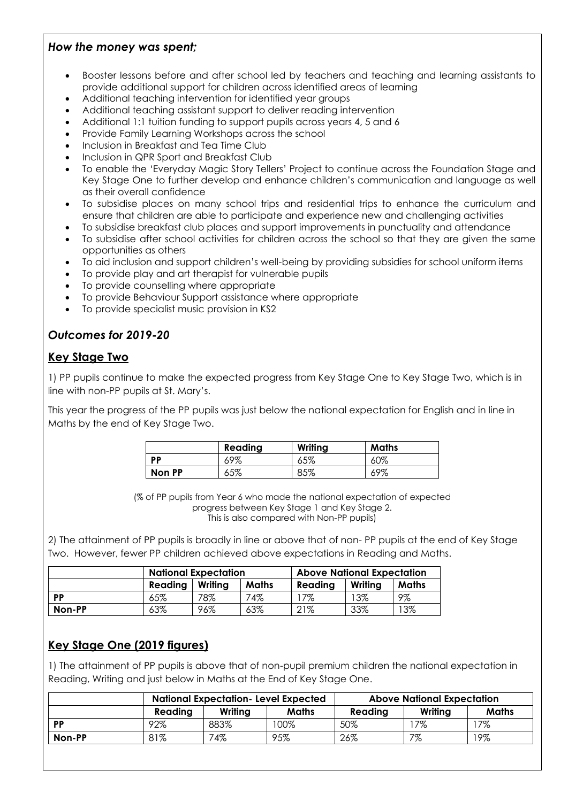#### *How the money was spent;*

- Booster lessons before and after school led by teachers and teaching and learning assistants to provide additional support for children across identified areas of learning
- Additional teaching intervention for identified year groups
- Additional teaching assistant support to deliver reading intervention
- Additional 1:1 tuition funding to support pupils across years 4, 5 and 6
- Provide Family Learning Workshops across the school
- Inclusion in Breakfast and Tea Time Club
- Inclusion in QPR Sport and Breakfast Club
- To enable the 'Everyday Magic Story Tellers' Project to continue across the Foundation Stage and Key Stage One to further develop and enhance children's communication and language as well as their overall confidence
- To subsidise places on many school trips and residential trips to enhance the curriculum and ensure that children are able to participate and experience new and challenging activities
- To subsidise breakfast club places and support improvements in punctuality and attendance
- To subsidise after school activities for children across the school so that they are given the same opportunities as others
- To aid inclusion and support children's well-being by providing subsidies for school uniform items
- To provide play and art therapist for vulnerable pupils
- To provide counselling where appropriate
- To provide Behaviour Support assistance where appropriate
- To provide specialist music provision in KS2

# *Outcomes for 2019-20*

## **Key Stage Two**

1) PP pupils continue to make the expected progress from Key Stage One to Key Stage Two, which is in line with non-PP pupils at St. Mary's.

This year the progress of the PP pupils was just below the national expectation for English and in line in Maths by the end of Key Stage Two.

|           | Reading | Writing | <b>Maths</b> |
|-----------|---------|---------|--------------|
| <b>DD</b> | 69%     | 65%     | 60%          |
| Non PP    | 65%     | 85%     | 69%          |

(% of PP pupils from Year 6 who made the national expectation of expected progress between Key Stage 1 and Key Stage 2. This is also compared with Non-PP pupils)

2) The attainment of PP pupils is broadly in line or above that of non- PP pupils at the end of Key Stage Two. However, fewer PP children achieved above expectations in Reading and Maths.

|        | <b>National Expectation</b> |         |       | <b>Above National Expectation</b> |         |              |
|--------|-----------------------------|---------|-------|-----------------------------------|---------|--------------|
|        | Reading                     | Writing | Maths | Reading                           | Writing | <b>Maths</b> |
| PP     | 65%                         | 78%     | 74%   | 7%                                | 13%     | 9%           |
| Non-PP | 63%                         | 96%     | 63%   | 21%                               | 33%     | '3%          |

# **Key Stage One (2019 figures)**

1) The attainment of PP pupils is above that of non-pupil premium children the national expectation in Reading, Writing and just below in Maths at the End of Key Stage One.

|        | <b>National Expectation-Level Expected</b> |         |              | <b>Above National Expectation</b> |         |       |
|--------|--------------------------------------------|---------|--------------|-----------------------------------|---------|-------|
|        | Readina                                    | Writing | <b>Maths</b> | Reading                           | Writing | Maths |
| PP     | 92%                                        | 883%    | 100%         | 50%                               | 7%      | 7%    |
| Non-PP | 81%                                        | 74%     | 95%          | 26%                               | 7%      | 19%   |